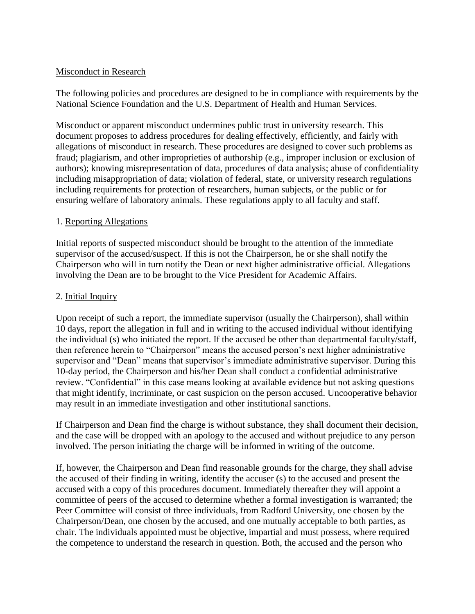## Misconduct in Research

The following policies and procedures are designed to be in compliance with requirements by the National Science Foundation and the U.S. Department of Health and Human Services.

Misconduct or apparent misconduct undermines public trust in university research. This document proposes to address procedures for dealing effectively, efficiently, and fairly with allegations of misconduct in research. These procedures are designed to cover such problems as fraud; plagiarism, and other improprieties of authorship (e.g., improper inclusion or exclusion of authors); knowing misrepresentation of data, procedures of data analysis; abuse of confidentiality including misappropriation of data; violation of federal, state, or university research regulations including requirements for protection of researchers, human subjects, or the public or for ensuring welfare of laboratory animals. These regulations apply to all faculty and staff.

#### 1. Reporting Allegations

Initial reports of suspected misconduct should be brought to the attention of the immediate supervisor of the accused/suspect. If this is not the Chairperson, he or she shall notify the Chairperson who will in turn notify the Dean or next higher administrative official. Allegations involving the Dean are to be brought to the Vice President for Academic Affairs.

### 2. Initial Inquiry

Upon receipt of such a report, the immediate supervisor (usually the Chairperson), shall within 10 days, report the allegation in full and in writing to the accused individual without identifying the individual (s) who initiated the report. If the accused be other than departmental faculty/staff, then reference herein to "Chairperson" means the accused person's next higher administrative supervisor and "Dean" means that supervisor's immediate administrative supervisor. During this 10-day period, the Chairperson and his/her Dean shall conduct a confidential administrative review. "Confidential" in this case means looking at available evidence but not asking questions that might identify, incriminate, or cast suspicion on the person accused. Uncooperative behavior may result in an immediate investigation and other institutional sanctions.

If Chairperson and Dean find the charge is without substance, they shall document their decision, and the case will be dropped with an apology to the accused and without prejudice to any person involved. The person initiating the charge will be informed in writing of the outcome.

If, however, the Chairperson and Dean find reasonable grounds for the charge, they shall advise the accused of their finding in writing, identify the accuser (s) to the accused and present the accused with a copy of this procedures document. Immediately thereafter they will appoint a committee of peers of the accused to determine whether a formal investigation is warranted; the Peer Committee will consist of three individuals, from Radford University, one chosen by the Chairperson/Dean, one chosen by the accused, and one mutually acceptable to both parties, as chair. The individuals appointed must be objective, impartial and must possess, where required the competence to understand the research in question. Both, the accused and the person who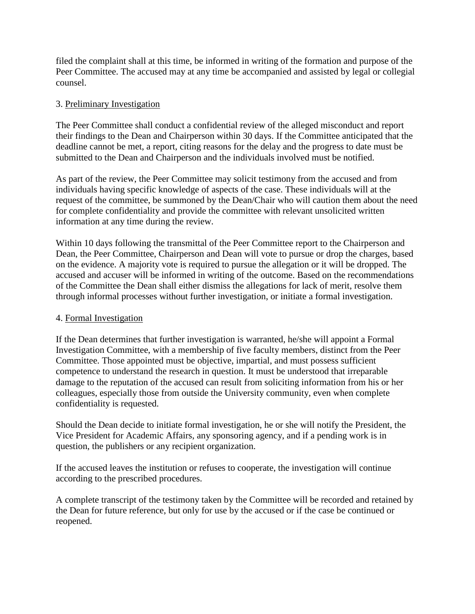filed the complaint shall at this time, be informed in writing of the formation and purpose of the Peer Committee. The accused may at any time be accompanied and assisted by legal or collegial counsel.

## 3. Preliminary Investigation

The Peer Committee shall conduct a confidential review of the alleged misconduct and report their findings to the Dean and Chairperson within 30 days. If the Committee anticipated that the deadline cannot be met, a report, citing reasons for the delay and the progress to date must be submitted to the Dean and Chairperson and the individuals involved must be notified.

As part of the review, the Peer Committee may solicit testimony from the accused and from individuals having specific knowledge of aspects of the case. These individuals will at the request of the committee, be summoned by the Dean/Chair who will caution them about the need for complete confidentiality and provide the committee with relevant unsolicited written information at any time during the review.

Within 10 days following the transmittal of the Peer Committee report to the Chairperson and Dean, the Peer Committee, Chairperson and Dean will vote to pursue or drop the charges, based on the evidence. A majority vote is required to pursue the allegation or it will be dropped. The accused and accuser will be informed in writing of the outcome. Based on the recommendations of the Committee the Dean shall either dismiss the allegations for lack of merit, resolve them through informal processes without further investigation, or initiate a formal investigation.

# 4. Formal Investigation

If the Dean determines that further investigation is warranted, he/she will appoint a Formal Investigation Committee, with a membership of five faculty members, distinct from the Peer Committee. Those appointed must be objective, impartial, and must possess sufficient competence to understand the research in question. It must be understood that irreparable damage to the reputation of the accused can result from soliciting information from his or her colleagues, especially those from outside the University community, even when complete confidentiality is requested.

Should the Dean decide to initiate formal investigation, he or she will notify the President, the Vice President for Academic Affairs, any sponsoring agency, and if a pending work is in question, the publishers or any recipient organization.

If the accused leaves the institution or refuses to cooperate, the investigation will continue according to the prescribed procedures.

A complete transcript of the testimony taken by the Committee will be recorded and retained by the Dean for future reference, but only for use by the accused or if the case be continued or reopened.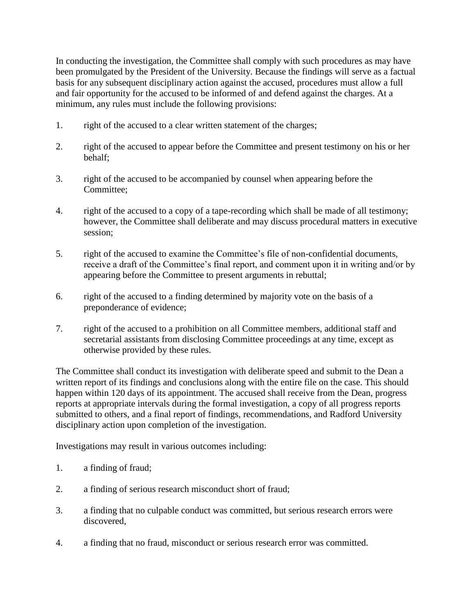In conducting the investigation, the Committee shall comply with such procedures as may have been promulgated by the President of the University. Because the findings will serve as a factual basis for any subsequent disciplinary action against the accused, procedures must allow a full and fair opportunity for the accused to be informed of and defend against the charges. At a minimum, any rules must include the following provisions:

- 1. right of the accused to a clear written statement of the charges;
- 2. right of the accused to appear before the Committee and present testimony on his or her behalf;
- 3. right of the accused to be accompanied by counsel when appearing before the Committee;
- 4. right of the accused to a copy of a tape-recording which shall be made of all testimony; however, the Committee shall deliberate and may discuss procedural matters in executive session;
- 5. right of the accused to examine the Committee's file of non-confidential documents, receive a draft of the Committee's final report, and comment upon it in writing and/or by appearing before the Committee to present arguments in rebuttal;
- 6. right of the accused to a finding determined by majority vote on the basis of a preponderance of evidence;
- 7. right of the accused to a prohibition on all Committee members, additional staff and secretarial assistants from disclosing Committee proceedings at any time, except as otherwise provided by these rules.

The Committee shall conduct its investigation with deliberate speed and submit to the Dean a written report of its findings and conclusions along with the entire file on the case. This should happen within 120 days of its appointment. The accused shall receive from the Dean, progress reports at appropriate intervals during the formal investigation, a copy of all progress reports submitted to others, and a final report of findings, recommendations, and Radford University disciplinary action upon completion of the investigation.

Investigations may result in various outcomes including:

- 1. a finding of fraud;
- 2. a finding of serious research misconduct short of fraud;
- 3. a finding that no culpable conduct was committed, but serious research errors were discovered,
- 4. a finding that no fraud, misconduct or serious research error was committed.